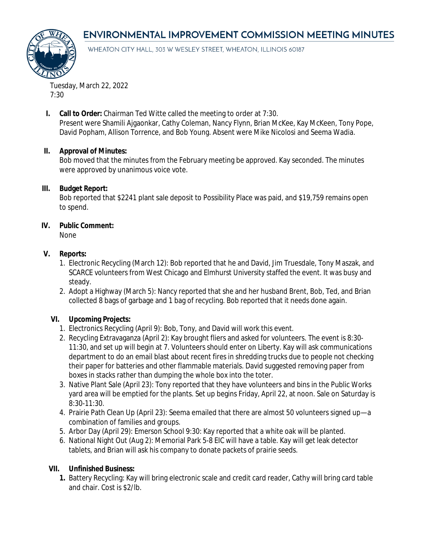# **ENVIRONMENTAL IMPROVEMENT COMMISSION MEETING MINUTES**



WHEATON CITY HALL, 303 W WESLEY STREET, WHEATON, ILLINOIS 60187

Tuesday, March 22, 2022 7:30

**I. Call to Order:** Chairman Ted Witte called the meeting to order at 7:30.

Present were Shamili Ajgaonkar, Cathy Coleman, Nancy Flynn, Brian McKee, Kay McKeen, Tony Pope, David Popham, Allison Torrence, and Bob Young. Absent were Mike Nicolosi and Seema Wadia.

#### **II. Approval of Minutes:**

Bob moved that the minutes from the February meeting be approved. Kay seconded. The minutes were approved by unanimous voice vote.

## **III. Budget Report:**

Bob reported that \$2241 plant sale deposit to Possibility Place was paid, and \$19,759 remains open to spend.

## **IV. Public Comment:**

None

## **V. Reports:**

- 1. Electronic Recycling (March 12): Bob reported that he and David, Jim Truesdale, Tony Maszak, and SCARCE volunteers from West Chicago and Elmhurst University staffed the event. It was busy and steady.
- 2. Adopt a Highway (March 5): Nancy reported that she and her husband Brent, Bob, Ted, and Brian collected 8 bags of garbage and 1 bag of recycling. Bob reported that it needs done again.

# **VI. Upcoming Projects:**

- 1. Electronics Recycling (April 9): Bob, Tony, and David will work this event.
- 2. Recycling Extravaganza (April 2): Kay brought fliers and asked for volunteers. The event is 8:30- 11:30, and set up will begin at 7. Volunteers should enter on Liberty. Kay will ask communications department to do an email blast about recent fires in shredding trucks due to people not checking their paper for batteries and other flammable materials. David suggested removing paper from boxes in stacks rather than dumping the whole box into the toter.
- 3. Native Plant Sale (April 23): Tony reported that they have volunteers and bins in the Public Works yard area will be emptied for the plants. Set up begins Friday, April 22, at noon. Sale on Saturday is 8:30-11:30.
- 4. Prairie Path Clean Up (April 23): Seema emailed that there are almost 50 volunteers signed up—a combination of families and groups.
- 5. Arbor Day (April 29): Emerson School 9:30: Kay reported that a white oak will be planted.
- 6. National Night Out (Aug 2): Memorial Park 5-8 EIC will have a table. Kay will get leak detector tablets, and Brian will ask his company to donate packets of prairie seeds.

#### **VII. Unfinished Business:**

**1.** Battery Recycling: Kay will bring electronic scale and credit card reader, Cathy will bring card table and chair. Cost is \$2/lb.